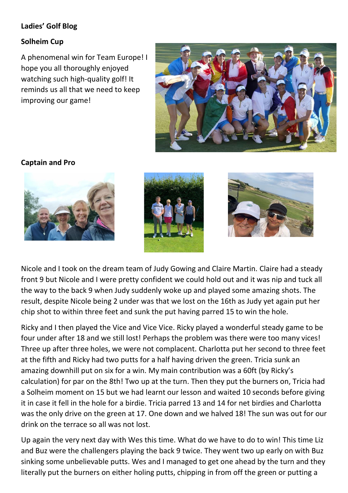## **Ladies' Golf Blog**

### **Solheim Cup**

A phenomenal win for Team Europe! I hope you all thoroughly enjoyed watching such high-quality golf! It reminds us all that we need to keep improving our game!



**Captain and Pro** 







Nicole and I took on the dream team of Judy Gowing and Claire Martin. Claire had a steady front 9 but Nicole and I were pretty confident we could hold out and it was nip and tuck all the way to the back 9 when Judy suddenly woke up and played some amazing shots. The result, despite Nicole being 2 under was that we lost on the 16th as Judy yet again put her chip shot to within three feet and sunk the put having parred 15 to win the hole.

Ricky and I then played the Vice and Vice Vice. Ricky played a wonderful steady game to be four under after 18 and we still lost! Perhaps the problem was there were too many vices! Three up after three holes, we were not complacent. Charlotta put her second to three feet at the fifth and Ricky had two putts for a half having driven the green. Tricia sunk an amazing downhill put on six for a win. My main contribution was a 60ft (by Ricky's calculation) for par on the 8th! Two up at the turn. Then they put the burners on, Tricia had a Solheim moment on 15 but we had learnt our lesson and waited 10 seconds before giving it in case it fell in the hole for a birdie. Tricia parred 13 and 14 for net birdies and Charlotta was the only drive on the green at 17. One down and we halved 18! The sun was out for our drink on the terrace so all was not lost.

Up again the very next day with Wes this time. What do we have to do to win! This time Liz and Buz were the challengers playing the back 9 twice. They went two up early on with Buz sinking some unbelievable putts. Wes and I managed to get one ahead by the turn and they literally put the burners on either holing putts, chipping in from off the green or putting a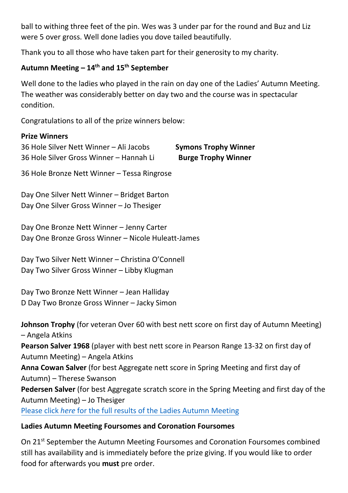ball to withing three feet of the pin. Wes was 3 under par for the round and Buz and Liz were 5 over gross. Well done ladies you dove tailed beautifully.

Thank you to all those who have taken part for their generosity to my charity.

## **Autumn Meeting – 14th and 15th September**

Well done to the ladies who played in the rain on day one of the Ladies' Autumn Meeting. The weather was considerably better on day two and the course was in spectacular condition.

Congratulations to all of the prize winners below:

#### **Prize Winners**

| 36 Hole Silver Nett Winner - Ali Jacobs | <b>Symons Trophy Winner</b> |
|-----------------------------------------|-----------------------------|
| 36 Hole Silver Gross Winner - Hannah Li | <b>Burge Trophy Winner</b>  |

36 Hole Bronze Nett Winner – Tessa Ringrose

Day One Silver Nett Winner – Bridget Barton Day One Silver Gross Winner – Jo Thesiger

Day One Bronze Nett Winner – Jenny Carter Day One Bronze Gross Winner – Nicole Huleatt-James

Day Two Silver Nett Winner – Christina O'Connell Day Two Silver Gross Winner – Libby Klugman

Day Two Bronze Nett Winner – Jean Halliday D Day Two Bronze Gross Winner – Jacky Simon

**Johnson Trophy** (for veteran Over 60 with best nett score on first day of Autumn Meeting) – Angela Atkins **Pearson Salver 1968** (player with best nett score in Pearson Range 13-32 on first day of Autumn Meeting) – Angela Atkins **Anna Cowan Salver** (for best Aggregate nett score in Spring Meeting and first day of Autumn) – Therese Swanson **Pedersen Salver** (for best Aggregate scratch score in the Spring Meeting and first day of the Autumn Meeting) – Jo Thesiger Please click *here* [for the full results of the Ladies Autumn Meeting](https://www.roehamptonclub.co.uk/propeller/uploads/2021/09/Autumn-meeting-prize-sheet-2021-results-NO-MONEY.pdf)

### **Ladies Autumn Meeting Foursomes and Coronation Foursomes**

On 21<sup>st</sup> September the Autumn Meeting Foursomes and Coronation Foursomes combined still has availability and is immediately before the prize giving. If you would like to order food for afterwards you **must** pre order.